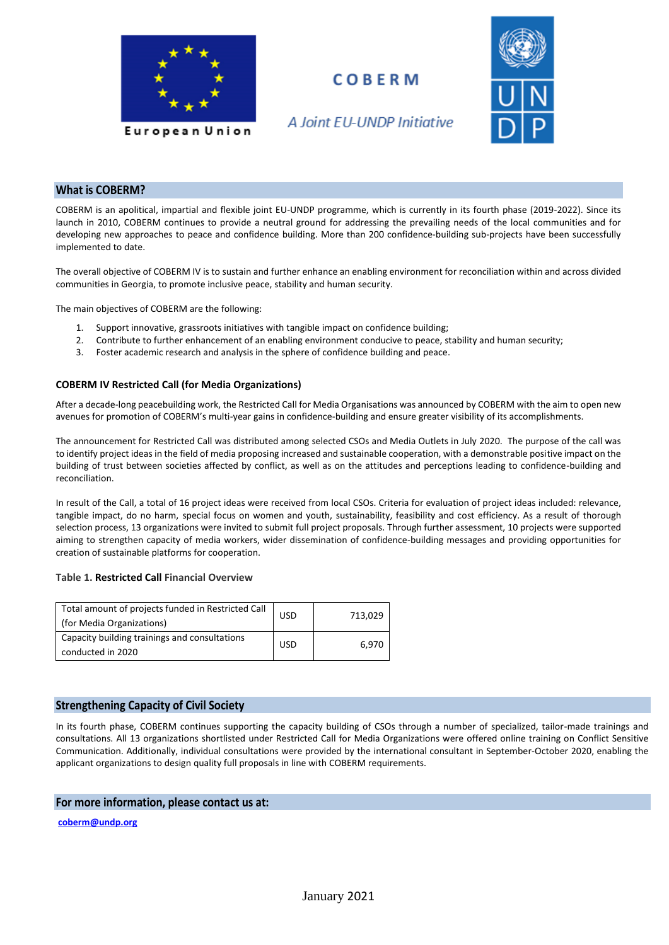

## **COBERM**



A Joint EU-UNDP Initiative

### **What is COBERM?**

COBERM is an apolitical, impartial and flexible joint EU-UNDP programme, which is currently in its fourth phase (2019-2022). Since its launch in 2010, COBERM continues to provide a neutral ground for addressing the prevailing needs of the local communities and for developing new approaches to peace and confidence building. More than 200 confidence-building sub-projects have been successfully implemented to date.

The overall objective of COBERM IV is to sustain and further enhance an enabling environment for reconciliation within and across divided communities in Georgia, to promote inclusive peace, stability and human security.

The main objectives of COBERM are the following:

- 1. Support innovative, grassroots initiatives with tangible impact on confidence building;
- 2. Contribute to further enhancement of an enabling environment conducive to peace, stability and human security;
- 3. Foster academic research and analysis in the sphere of confidence building and peace.

#### **COBERM IV Restricted Call (for Media Organizations)**

After a decade-long peacebuilding work, the Restricted Call for Media Organisations was announced by COBERM with the aim to open new avenues for promotion of COBERM's multi-year gains in confidence-building and ensure greater visibility of its accomplishments.

The announcement for Restricted Call was distributed among selected CSOs and Media Outlets in July 2020. The purpose of the call was to identify project ideas in the field of media proposing increased and sustainable cooperation, with a demonstrable positive impact on the building of trust between societies affected by conflict, as well as on the attitudes and perceptions leading to confidence-building and reconciliation.

In result of the Call, a total of 16 project ideas were received from local CSOs. Criteria for evaluation of project ideas included: relevance, tangible impact, do no harm, special focus on women and youth, sustainability, feasibility and cost efficiency. As a result of thorough selection process, 13 organizations were invited to submit full project proposals. Through further assessment, 10 projects were supported aiming to strengthen capacity of media workers, wider dissemination of confidence-building messages and providing opportunities for creation of sustainable platforms for cooperation.

#### **Table 1. Restricted Call Financial Overview**

| Total amount of projects funded in Restricted Call<br>(for Media Organizations) | <b>USD</b> | 713,029 |
|---------------------------------------------------------------------------------|------------|---------|
| Capacity building trainings and consultations<br>conducted in 2020              | <b>USD</b> | 6.970   |

#### **Strengthening Capacity of Civil Society**

In its fourth phase, COBERM continues supporting the capacity building of CSOs through a number of specialized, tailor-made trainings and consultations. All 13 organizations shortlisted under Restricted Call for Media Organizations were offered online training on Conflict Sensitive Communication. Additionally, individual consultations were provided by the international consultant in September-October 2020, enabling the applicant organizations to design quality full proposals in line with COBERM requirements.

#### **For more information, please contact us at:**

**[coberm@undp.org](mailto:coberm@undp.org)**